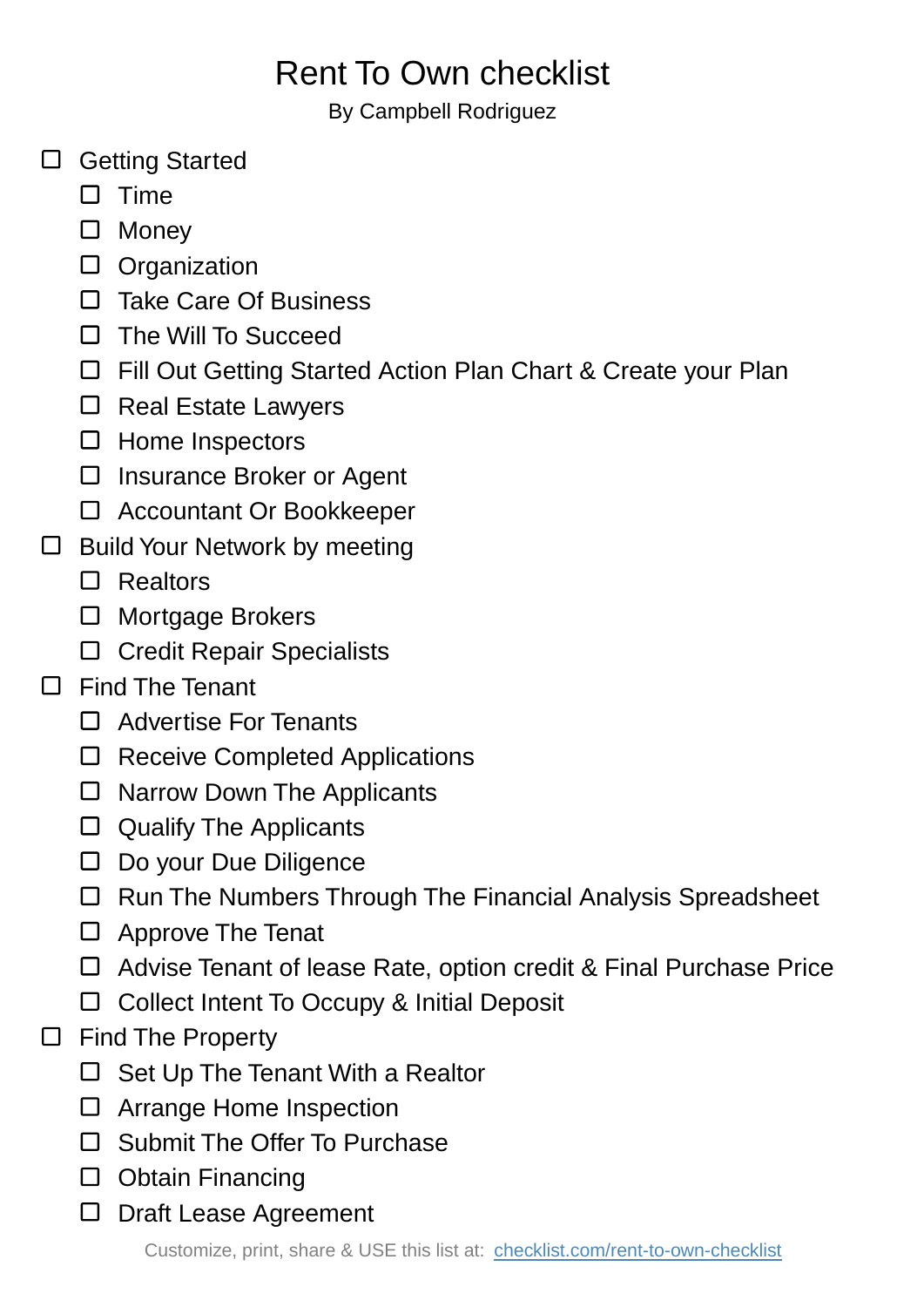## Rent To Own checklist

By Campbell Rodriguez

- □ Getting Started
	- $\square$  Time
	- □ Monev
	- D Organization
	- □ Take Care Of Business
	- $\Box$  The Will To Succeed
	- □ Fill Out Getting Started Action Plan Chart & Create your Plan
	- $\square$  Real Estate Lawyers
	- $\square$  Home Inspectors
	- □ Insurance Broker or Agent
	- □ Accountant Or Bookkeeper
- $\square$  Build Your Network by meeting
	- □ Realtors
	- □ Mortgage Brokers
	- □ Credit Repair Specialists

## Find The Tenant  $\Box$

- □ Advertise For Tenants
- □ Receive Completed Applications
- $\square$  Narrow Down The Applicants
- $\Box$  Qualify The Applicants
- □ Do your Due Diligence
- □ Run The Numbers Through The Financial Analysis Spreadsheet
- □ Approve The Tenat
- Advise Tenant of lease Rate, option credit & Final Purchase Price
- □ Collect Intent To Occupy & Initial Deposit
- $\Box$  Find The Property
	- $\Box$  Set Up The Tenant With a Realtor
	- □ Arrange Home Inspection
	- □ Submit The Offer To Purchase
	- Obtain Financing
	- □ Draft Lease Agreement